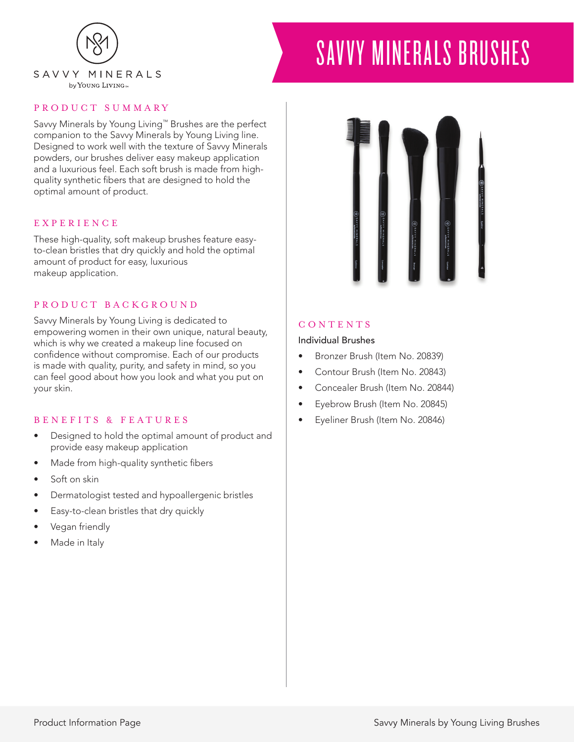

# SAVVY MINERALS BRUSHES

## PRODUCT SUMMARY

Savvy Minerals by Young Living™ Brushes are the perfect companion to the Savvy Minerals by Young Living line. Designed to work well with the texture of Savvy Minerals powders, our brushes deliver easy makeup application and a luxurious feel. Each soft brush is made from highquality synthetic fibers that are designed to hold the optimal amount of product.

### EXPERIENCE

These high-quality, soft makeup brushes feature easyto-clean bristles that dry quickly and hold the optimal amount of product for easy, luxurious makeup application.

### PRODUCT BACKGROUND

Savvy Minerals by Young Living is dedicated to empowering women in their own unique, natural beauty, which is why we created a makeup line focused on confidence without compromise. Each of our products is made with quality, purity, and safety in mind, so you can feel good about how you look and what you put on your skin.

## BENEFITS & FEATURES

- Designed to hold the optimal amount of product and provide easy makeup application
- Made from high-quality synthetic fibers
- Soft on skin
- Dermatologist tested and hypoallergenic bristles
- Easy-to-clean bristles that dry quickly
- Vegan friendly
- Made in Italy



## CONTENTS

#### Individual Brushes

- Bronzer Brush (Item No. 20839)
- Contour Brush (Item No. 20843)
- Concealer Brush (Item No. 20844)
- Eyebrow Brush (Item No. 20845)
- Eyeliner Brush (Item No. 20846)